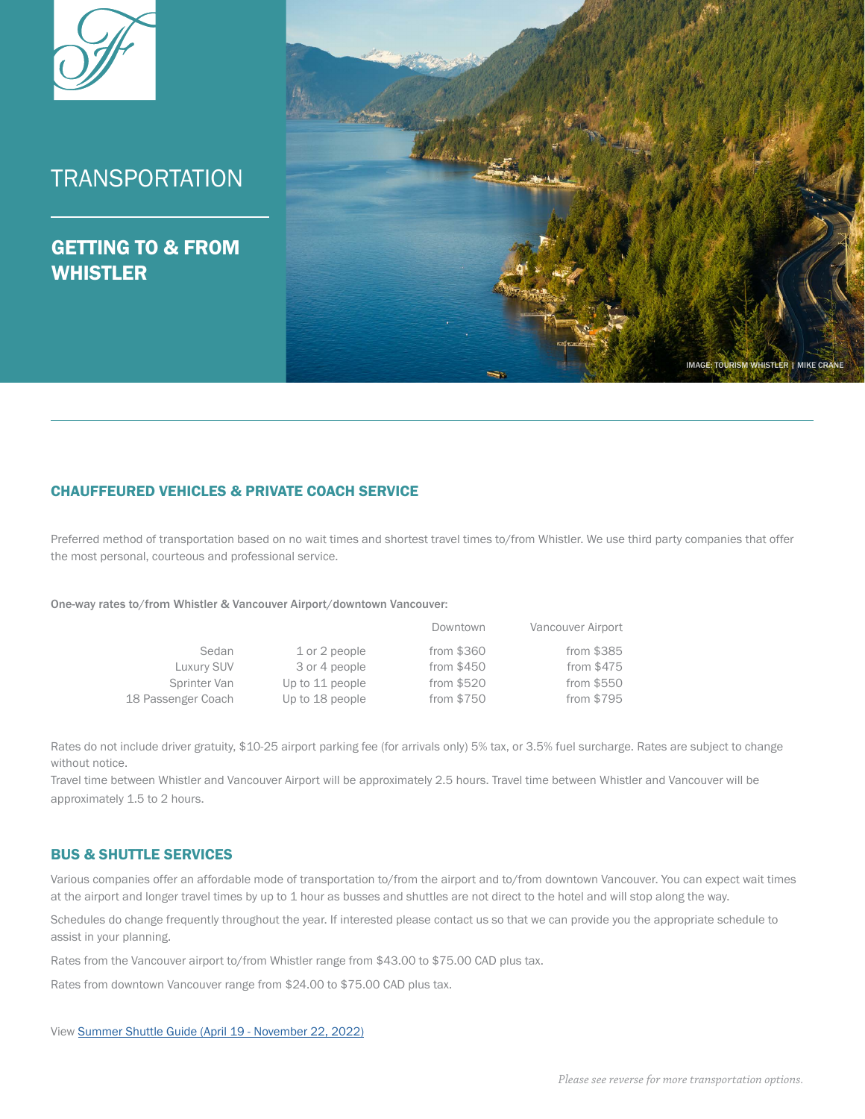

# **TRANSPORTATION**

GETTING TO & FROM WHISTLER



## CHAUFFEURED VEHICLES & PRIVATE COACH SERVICE

Preferred method of transportation based on no wait times and shortest travel times to/from Whistler. We use third party companies that offer the most personal, courteous and professional service.

One-way rates to/from Whistler & Vancouver Airport/downtown Vancouver:

|                    |                 | Downtown    | Vancouver Airport |
|--------------------|-----------------|-------------|-------------------|
| Sedan              | 1 or 2 people   | from \$360  | from \$385        |
| Luxury SUV         | 3 or 4 people   | from $$450$ | from \$475        |
| Sprinter Van       | Up to 11 people | from \$520  | from \$550        |
| 18 Passenger Coach | Up to 18 people | from \$750  | from \$795        |

Rates do not include driver gratuity, \$10-25 airport parking fee (for arrivals only) 5% tax, or 3.5% fuel surcharge. Rates are subject to change without notice.

Travel time between Whistler and Vancouver Airport will be approximately 2.5 hours. Travel time between Whistler and Vancouver will be approximately 1.5 to 2 hours.

## BUS & SHUTTLE SERVICES

Various companies offer an affordable mode of transportation to/from the airport and to/from downtown Vancouver. You can expect wait times at the airport and longer travel times by up to 1 hour as busses and shuttles are not direct to the hotel and will stop along the way.

Schedules do change frequently throughout the year. If interested please contact us so that we can provide you the appropriate schedule to assist in your planning.

Rates from the Vancouver airport to/from Whistler range from \$43.00 to \$75.00 CAD plus tax.

Rates from downtown Vancouver range from \$24.00 to \$75.00 CAD plus tax.